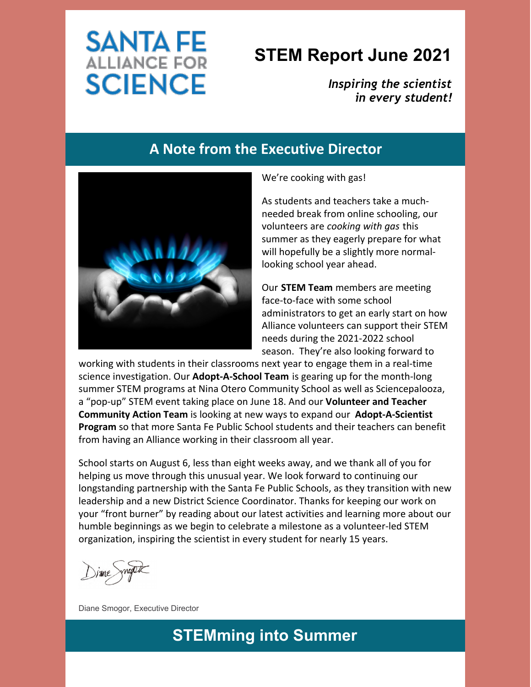# **SANTA FE**<br>ALLIANCE FOR **SCIENCE**

## **STEM Report June 2021**

*Inspiring the scientist in every student!*

## **A Note from the Executive Director**



We're cooking with gas!

As students and teachers take a muchneeded break from online schooling, our volunteers are *cooking with gas* this summer as they eagerly prepare for what will hopefully be a slightly more normallooking school year ahead.

Our **STEM Team** members are meeting face-to-face with some school administrators to get an early start on how Alliance volunteers can support their STEM needs during the 2021-2022 school season. They're also looking forward to

working with students in their classrooms next year to engage them in a real-time science investigation. Our **Adopt-A-School Team** is gearing up for the month-long summer STEM programs at Nina Otero Community School as well as Sciencepalooza, a "pop-up" STEM event taking place on June 18. And our **Volunteer and Teacher Community Action Team** is looking at new ways to expand our **Adopt-A-Scientist Program** so that more Santa Fe Public School students and their teachers can benefit from having an Alliance working in their classroom all year.

School starts on August 6, less than eight weeks away, and we thank all of you for helping us move through this unusual year. We look forward to continuing our longstanding partnership with the Santa Fe Public Schools, as they transition with new leadership and a new District Science Coordinator. Thanks for keeping our work on your "front burner" by reading about our latest activities and learning more about our humble beginnings as we begin to celebrate a milestone as a volunteer-led STEM organization, inspiring the scientist in every student for nearly 15 years.

Diane Smogor, Executive Director

### **STEMming into Summer**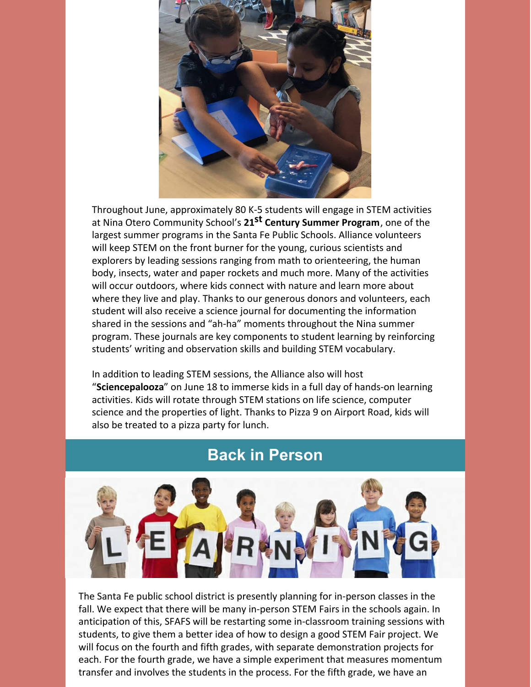

Throughout June, approximately 80 K-5 students will engage in STEM activities at Nina Otero Community School's **21 st Century Summer Program**, one of the largest summer programs in the Santa Fe Public Schools. Alliance volunteers will keep STEM on the front burner for the young, curious scientists and explorers by leading sessions ranging from math to orienteering, the human body, insects, water and paper rockets and much more. Many of the activities will occur outdoors, where kids connect with nature and learn more about where they live and play. Thanks to our generous donors and volunteers, each student will also receive a science journal for documenting the information shared in the sessions and "ah-ha" moments throughout the Nina summer program. These journals are key components to student learning by reinforcing students' writing and observation skills and building STEM vocabulary.

In addition to leading STEM sessions, the Alliance also will host "**Sciencepalooza**" on June 18 to immerse kids in a full day of hands-on learning activities. Kids will rotate through STEM stations on life science, computer science and the properties of light. Thanks to Pizza 9 on Airport Road, kids will also be treated to a pizza party for lunch.

#### **Back in Person**



The Santa Fe public school district is presently planning for in-person classes in the fall. We expect that there will be many in-person STEM Fairs in the schools again. In anticipation of this, SFAFS will be restarting some in-classroom training sessions with students, to give them a better idea of how to design a good STEM Fair project. We will focus on the fourth and fifth grades, with separate demonstration projects for each. For the fourth grade, we have a simple experiment that measures momentum transfer and involves the students in the process. For the fifth grade, we have an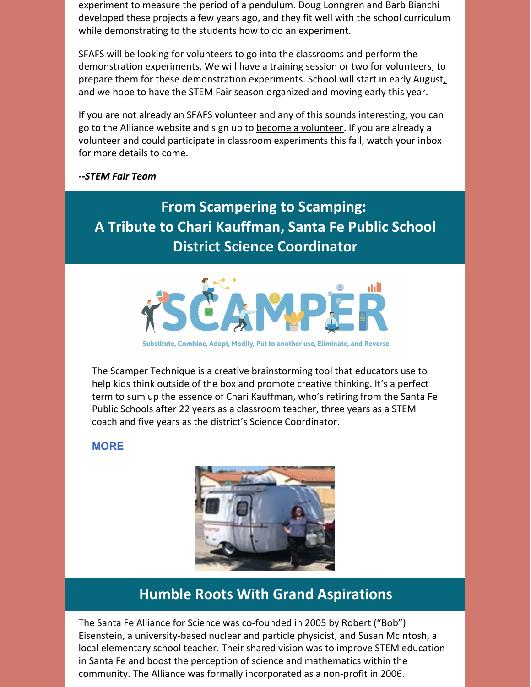experiment to measure the period of a pendulum. Doug Lonngren and Barb Bianchi developed these projects a few years ago, and they fit well with the school curriculum while demonstrating to the students how to do an experiment.

SFAFS will be looking for volunteers to go into the classrooms and perform the demonstration experiments. We will have a training session or two for volunteers, to prepare them for these demonstration experiments. School will start in early August, and we hope to have the STEM Fair season organized and moving early this year.

If you are not already an SFAFS volunteer and any of this sounds interesting, you can go to the Alliance website and sign up to become a [volunteer](https://www.sfafs.org/volunteer.html). If you are already a volunteer and could participate in classroom experiments this fall, watch your inbox for more details to come.

*--STEM Fair Team*

**From Scampering to Scamping: A Tribute to Chari Kauffman, Santa Fe Public School District Science Coordinator**



Substitute, Combine, Adapt, Modify, Put to another use, Eliminate, and Reverse

The Scamper Technique is a creative brainstorming tool that educators use to help kids think outside of the box and promote creative thinking. It's a perfect term to sum up the essence of Chari Kauffman, who's retiring from the Santa Fe Public Schools after 22 years as a classroom teacher, three years as a STEM coach and five years as the district's Science Coordinator.

#### **[MORE](https://files.constantcontact.com/1497272b601/9a479694-3ac2-4409-b531-4d0ddc9d1c7e.pdf)**



#### **Humble Roots With Grand Aspirations**

The Santa Fe Alliance for Science was co-founded in 2005 by Robert ("Bob") Eisenstein, a university-based nuclear and particle physicist, and Susan McIntosh, a local elementary school teacher. Their shared vision was to improve STEM education in Santa Fe and boost the perception of science and mathematics within the community. The Alliance was formally incorporated as a non-profit in 2006.